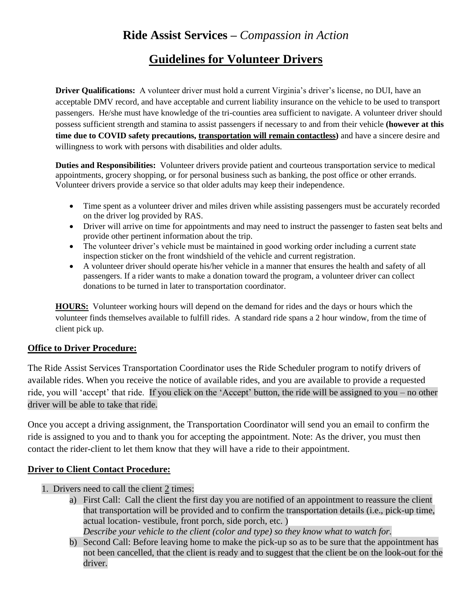# **Ride Assist Services –** *Compassion in Action*

## **Guidelines for Volunteer Drivers**

**Driver Qualifications:** A volunteer driver must hold a current Virginia's driver's license, no DUI, have an acceptable DMV record, and have acceptable and current liability insurance on the vehicle to be used to transport passengers. He/she must have knowledge of the tri-counties area sufficient to navigate. A volunteer driver should possess sufficient strength and stamina to assist passengers if necessary to and from their vehicle **(however at this time due to COVID safety precautions, transportation will remain contactless)** and have a sincere desire and willingness to work with persons with disabilities and older adults.

**Duties and Responsibilities:** Volunteer drivers provide patient and courteous transportation service to medical appointments, grocery shopping, or for personal business such as banking, the post office or other errands. Volunteer drivers provide a service so that older adults may keep their independence.

- Time spent as a volunteer driver and miles driven while assisting passengers must be accurately recorded on the driver log provided by RAS.
- Driver will arrive on time for appointments and may need to instruct the passenger to fasten seat belts and provide other pertinent information about the trip.
- The volunteer driver's vehicle must be maintained in good working order including a current state inspection sticker on the front windshield of the vehicle and current registration.
- A volunteer driver should operate his/her vehicle in a manner that ensures the health and safety of all passengers. If a rider wants to make a donation toward the program, a volunteer driver can collect donations to be turned in later to transportation coordinator.

**HOURS:** Volunteer working hours will depend on the demand for rides and the days or hours which the volunteer finds themselves available to fulfill rides. A standard ride spans a 2 hour window, from the time of client pick up.

#### **Office to Driver Procedure:**

The Ride Assist Services Transportation Coordinator uses the Ride Scheduler program to notify drivers of available rides. When you receive the notice of available rides, and you are available to provide a requested ride, you will 'accept' that ride. If you click on the 'Accept' button, the ride will be assigned to you – no other driver will be able to take that ride.

Once you accept a driving assignment, the Transportation Coordinator will send you an email to confirm the ride is assigned to you and to thank you for accepting the appointment. Note: As the driver, you must then contact the rider-client to let them know that they will have a ride to their appointment.

## **Driver to Client Contact Procedure:**

- 1. Drivers need to call the client 2 times:
	- a) First Call: Call the client the first day you are notified of an appointment to reassure the client that transportation will be provided and to confirm the transportation details (i.e., pick-up time, actual location- vestibule, front porch, side porch, etc. ) *Describe your vehicle to the client (color and type) so they know what to watch for.*
	- b) Second Call: Before leaving home to make the pick-up so as to be sure that the appointment has not been cancelled, that the client is ready and to suggest that the client be on the look-out for the driver.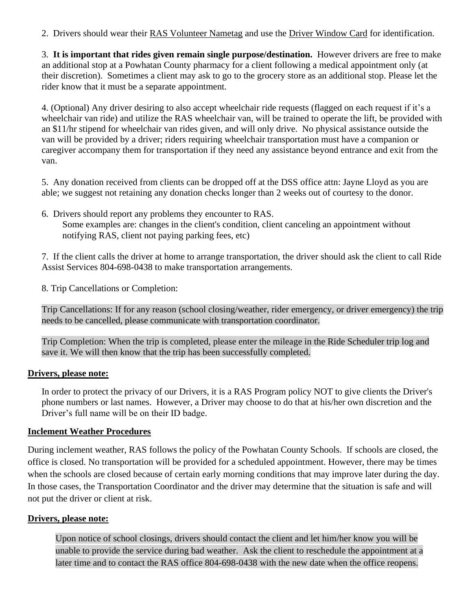2. Drivers should wear their RAS Volunteer Nametag and use the Driver Window Card for identification.

3. **It is important that rides given remain single purpose/destination.** However drivers are free to make an additional stop at a Powhatan County pharmacy for a client following a medical appointment only (at their discretion). Sometimes a client may ask to go to the grocery store as an additional stop. Please let the rider know that it must be a separate appointment.

4. (Optional) Any driver desiring to also accept wheelchair ride requests (flagged on each request if it's a wheelchair van ride) and utilize the RAS wheelchair van, will be trained to operate the lift, be provided with an \$11/hr stipend for wheelchair van rides given, and will only drive. No physical assistance outside the van will be provided by a driver; riders requiring wheelchair transportation must have a companion or caregiver accompany them for transportation if they need any assistance beyond entrance and exit from the van.

5. Any donation received from clients can be dropped off at the DSS office attn: Jayne Lloyd as you are able; we suggest not retaining any donation checks longer than 2 weeks out of courtesy to the donor.

6. Drivers should report any problems they encounter to RAS. Some examples are: changes in the client's condition, client canceling an appointment without notifying RAS, client not paying parking fees, etc)

7. If the client calls the driver at home to arrange transportation, the driver should ask the client to call Ride Assist Services 804-698-0438 to make transportation arrangements.

8. Trip Cancellations or Completion:

Trip Cancellations: If for any reason (school closing/weather, rider emergency, or driver emergency) the trip needs to be cancelled, please communicate with transportation coordinator.

Trip Completion: When the trip is completed, please enter the mileage in the Ride Scheduler trip log and save it. We will then know that the trip has been successfully completed.

#### **Drivers, please note:**

In order to protect the privacy of our Drivers, it is a RAS Program policy NOT to give clients the Driver's phone numbers or last names. However, a Driver may choose to do that at his/her own discretion and the Driver's full name will be on their ID badge.

## **Inclement Weather Procedures**

During inclement weather, RAS follows the policy of the Powhatan County Schools. If schools are closed, the office is closed. No transportation will be provided for a scheduled appointment. However, there may be times when the schools are closed because of certain early morning conditions that may improve later during the day. In those cases, the Transportation Coordinator and the driver may determine that the situation is safe and will not put the driver or client at risk.

## **Drivers, please note:**

Upon notice of school closings, drivers should contact the client and let him/her know you will be unable to provide the service during bad weather. Ask the client to reschedule the appointment at a later time and to contact the RAS office 804-698-0438 with the new date when the office reopens.